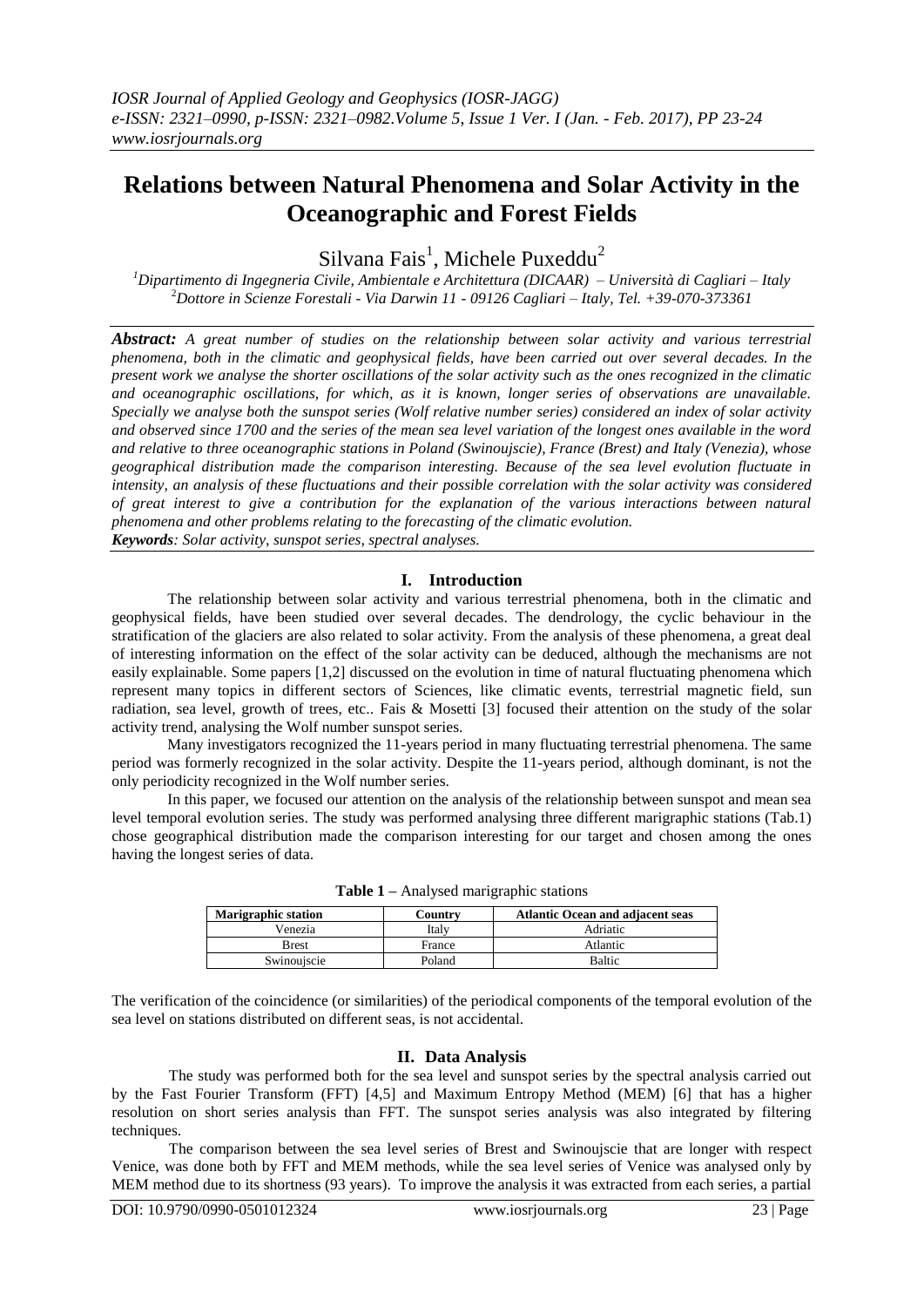# **Relations between Natural Phenomena and Solar Activity in the Oceanographic and Forest Fields**

 $\text{Silvana Fais}^1$ , Michele Puxeddu<sup>2</sup>

*<sup>1</sup>Dipartimento di Ingegneria Civile, Ambientale e Architettura (DICAAR) – Università di Cagliari – Italy* <sup>2</sup>*Dottore in Scienze Forestali - Via Darwin 11 - 09126 Cagliari – Italy, Tel. +39-070-373361*

*Abstract: A great number of studies on the relationship between solar activity and various terrestrial phenomena, both in the climatic and geophysical fields, have been carried out over several decades. In the present work we analyse the shorter oscillations of the solar activity such as the ones recognized in the climatic and oceanographic oscillations, for which, as it is known, longer series of observations are unavailable. Specially we analyse both the sunspot series (Wolf relative number series) considered an index of solar activity and observed since 1700 and the series of the mean sea level variation of the longest ones available in the word and relative to three oceanographic stations in Poland (Swinoujscie), France (Brest) and Italy (Venezia), whose geographical distribution made the comparison interesting. Because of the sea level evolution fluctuate in intensity, an analysis of these fluctuations and their possible correlation with the solar activity was considered of great interest to give a contribution for the explanation of the various interactions between natural phenomena and other problems relating to the forecasting of the climatic evolution. Keywords: Solar activity, sunspot series, spectral analyses.*

## **I. Introduction**

The relationship between solar activity and various terrestrial phenomena, both in the climatic and geophysical fields, have been studied over several decades. The dendrology, the cyclic behaviour in the stratification of the glaciers are also related to solar activity. From the analysis of these phenomena, a great deal of interesting information on the effect of the solar activity can be deduced, although the mechanisms are not easily explainable. Some papers [1,2] discussed on the evolution in time of natural fluctuating phenomena which represent many topics in different sectors of Sciences, like climatic events, terrestrial magnetic field, sun radiation, sea level, growth of trees, etc.. Fais & Mosetti [3] focused their attention on the study of the solar activity trend, analysing the Wolf number sunspot series.

Many investigators recognized the 11-years period in many fluctuating terrestrial phenomena. The same period was formerly recognized in the solar activity. Despite the 11-years period, although dominant, is not the only periodicity recognized in the Wolf number series.

In this paper, we focused our attention on the analysis of the relationship between sunspot and mean sea level temporal evolution series. The study was performed analysing three different marigraphic stations (Tab.1) chose geographical distribution made the comparison interesting for our target and chosen among the ones having the longest series of data.

| <b>Marigraphic station</b> | Countrv | <b>Atlantic Ocean and adjacent seas</b> |
|----------------------------|---------|-----------------------------------------|
| Venezia                    | Italy   | Adriatic                                |
| <b>Brest</b>               | France  | Atlantic                                |
| Swinoujscie                | Poland  | <b>Baltic</b>                           |

**Table 1 –** Analysed marigraphic stations

The verification of the coincidence (or similarities) of the periodical components of the temporal evolution of the sea level on stations distributed on different seas, is not accidental.

## **II. Data Analysis**

The study was performed both for the sea level and sunspot series by the spectral analysis carried out by the Fast Fourier Transform (FFT) [4,5] and Maximum Entropy Method (MEM) [6] that has a higher resolution on short series analysis than FFT. The sunspot series analysis was also integrated by filtering techniques.

The comparison between the sea level series of Brest and Swinoujscie that are longer with respect Venice, was done both by FFT and MEM methods, while the sea level series of Venice was analysed only by MEM method due to its shortness (93 years). To improve the analysis it was extracted from each series, a partial